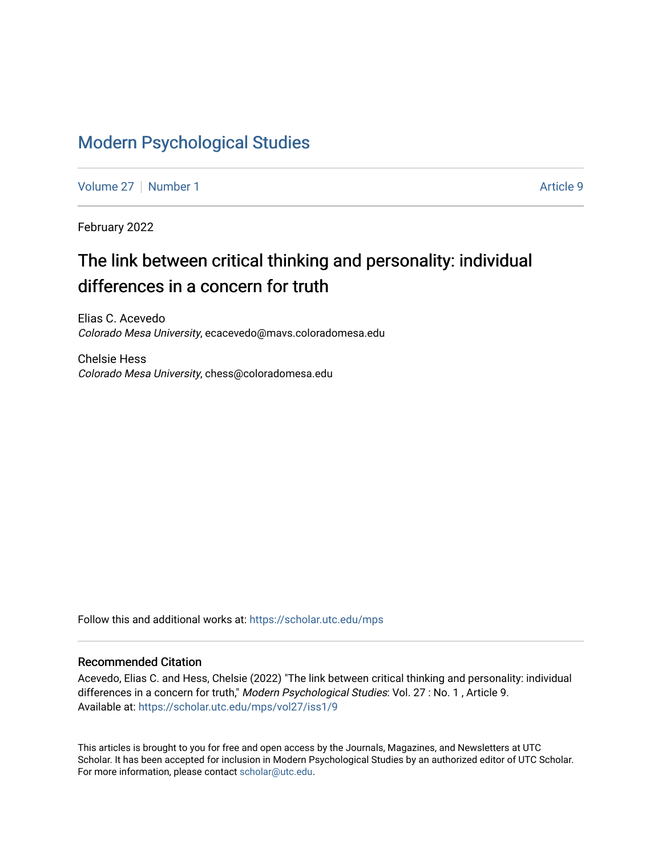## [Modern Psychological Studies](https://scholar.utc.edu/mps)

[Volume 27](https://scholar.utc.edu/mps/vol27) | [Number 1](https://scholar.utc.edu/mps/vol27/iss1) Article 9

February 2022

# The link between critical thinking and personality: individual differences in a concern for truth

Elias C. Acevedo Colorado Mesa University, ecacevedo@mavs.coloradomesa.edu

Chelsie Hess Colorado Mesa University, chess@coloradomesa.edu

Follow this and additional works at: [https://scholar.utc.edu/mps](https://scholar.utc.edu/mps?utm_source=scholar.utc.edu%2Fmps%2Fvol27%2Fiss1%2F9&utm_medium=PDF&utm_campaign=PDFCoverPages) 

### Recommended Citation

Acevedo, Elias C. and Hess, Chelsie (2022) "The link between critical thinking and personality: individual differences in a concern for truth," Modern Psychological Studies: Vol. 27 : No. 1, Article 9. Available at: [https://scholar.utc.edu/mps/vol27/iss1/9](https://scholar.utc.edu/mps/vol27/iss1/9?utm_source=scholar.utc.edu%2Fmps%2Fvol27%2Fiss1%2F9&utm_medium=PDF&utm_campaign=PDFCoverPages) 

This articles is brought to you for free and open access by the Journals, Magazines, and Newsletters at UTC Scholar. It has been accepted for inclusion in Modern Psychological Studies by an authorized editor of UTC Scholar. For more information, please contact [scholar@utc.edu](mailto:scholar@utc.edu).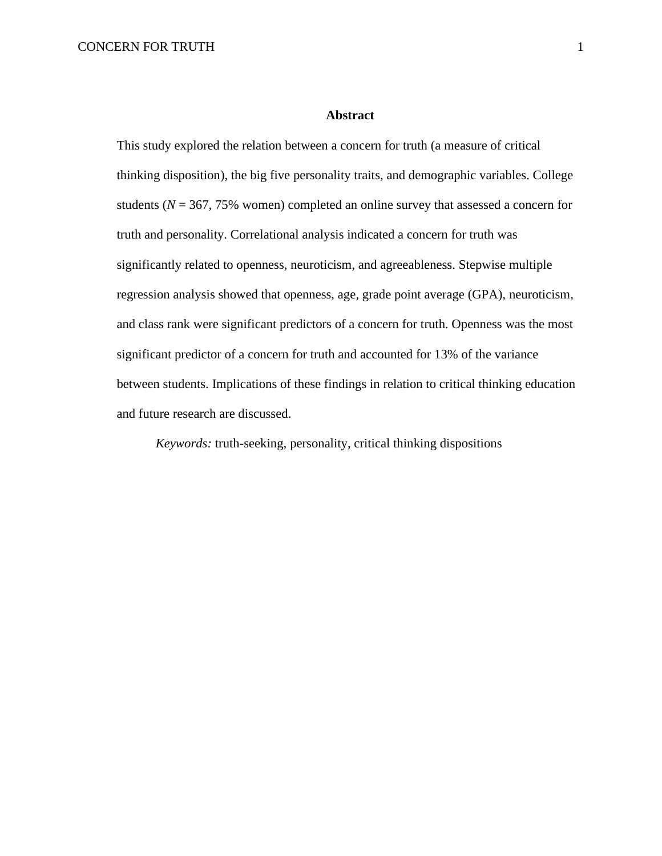### **Abstract**

This study explored the relation between a concern for truth (a measure of critical thinking disposition), the big five personality traits, and demographic variables. College students ( $N = 367, 75\%$  women) completed an online survey that assessed a concern for truth and personality. Correlational analysis indicated a concern for truth was significantly related to openness, neuroticism, and agreeableness. Stepwise multiple regression analysis showed that openness, age, grade point average (GPA), neuroticism, and class rank were significant predictors of a concern for truth. Openness was the most significant predictor of a concern for truth and accounted for 13% of the variance between students. Implications of these findings in relation to critical thinking education and future research are discussed.

*Keywords:* truth-seeking, personality, critical thinking dispositions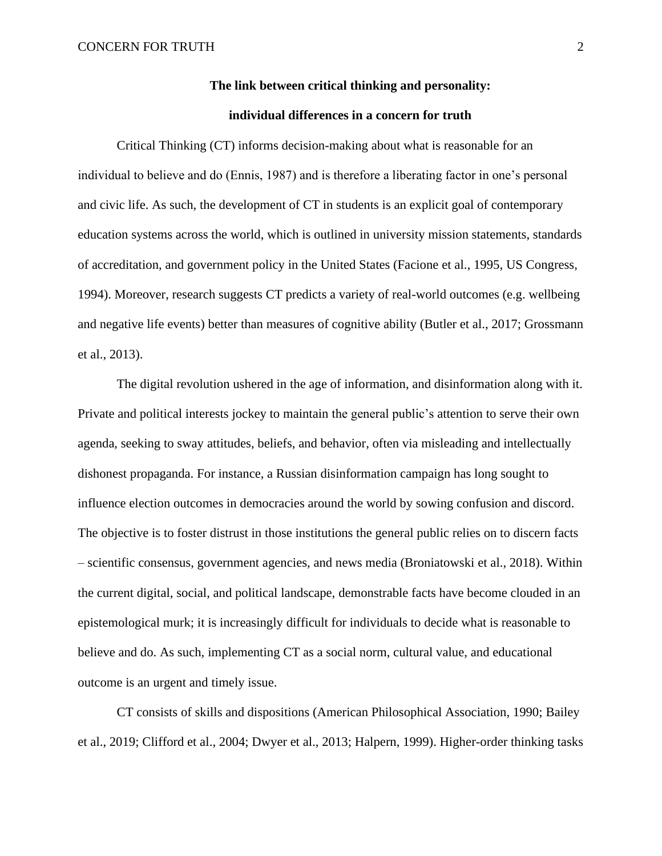## **The link between critical thinking and personality:**

## **individual differences in a concern for truth**

Critical Thinking (CT) informs decision-making about what is reasonable for an individual to believe and do (Ennis, 1987) and is therefore a liberating factor in one's personal and civic life. As such, the development of CT in students is an explicit goal of contemporary education systems across the world, which is outlined in university mission statements, standards of accreditation, and government policy in the United States (Facione et al., 1995, US Congress, 1994). Moreover, research suggests CT predicts a variety of real-world outcomes (e.g. wellbeing and negative life events) better than measures of cognitive ability (Butler et al., 2017; Grossmann et al., 2013).

The digital revolution ushered in the age of information, and disinformation along with it. Private and political interests jockey to maintain the general public's attention to serve their own agenda, seeking to sway attitudes, beliefs, and behavior, often via misleading and intellectually dishonest propaganda. For instance, a Russian disinformation campaign has long sought to influence election outcomes in democracies around the world by sowing confusion and discord. The objective is to foster distrust in those institutions the general public relies on to discern facts – scientific consensus, government agencies, and news media (Broniatowski et al., 2018). Within the current digital, social, and political landscape, demonstrable facts have become clouded in an epistemological murk; it is increasingly difficult for individuals to decide what is reasonable to believe and do. As such, implementing CT as a social norm, cultural value, and educational outcome is an urgent and timely issue.

CT consists of skills and dispositions (American Philosophical Association, 1990; Bailey et al., 2019; Clifford et al., 2004; Dwyer et al., 2013; Halpern, 1999). Higher-order thinking tasks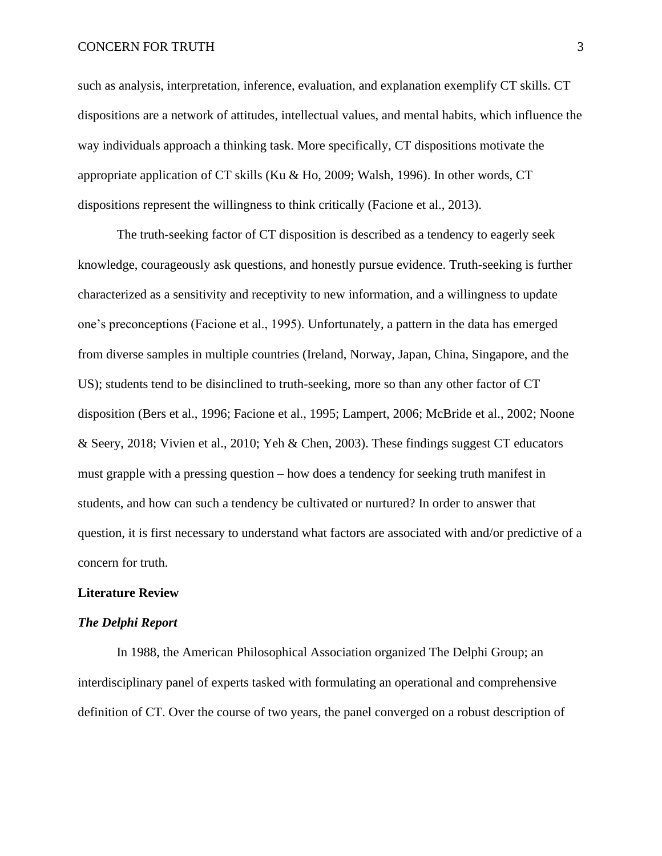such as analysis, interpretation, inference, evaluation, and explanation exemplify CT skills. CT dispositions are a network of attitudes, intellectual values, and mental habits, which influence the way individuals approach a thinking task. More specifically, CT dispositions motivate the appropriate application of CT skills (Ku & Ho, 2009; Walsh, 1996). In other words, CT dispositions represent the willingness to think critically (Facione et al., 2013).

The truth-seeking factor of CT disposition is described as a tendency to eagerly seek knowledge, courageously ask questions, and honestly pursue evidence. Truth-seeking is further characterized as a sensitivity and receptivity to new information, and a willingness to update one's preconceptions (Facione et al., 1995). Unfortunately, a pattern in the data has emerged from diverse samples in multiple countries (Ireland, Norway, Japan, China, Singapore, and the US); students tend to be disinclined to truth-seeking, more so than any other factor of CT disposition (Bers et al., 1996; Facione et al., 1995; Lampert, 2006; McBride et al., 2002; Noone & Seery, 2018; Vivien et al., 2010; Yeh & Chen, 2003). These findings suggest CT educators must grapple with a pressing question – how does a tendency for seeking truth manifest in students, and how can such a tendency be cultivated or nurtured? In order to answer that question, it is first necessary to understand what factors are associated with and/or predictive of a concern for truth.

## **Literature Review**

#### *The Delphi Report*

In 1988, the American Philosophical Association organized The Delphi Group; an interdisciplinary panel of experts tasked with formulating an operational and comprehensive definition of CT. Over the course of two years, the panel converged on a robust description of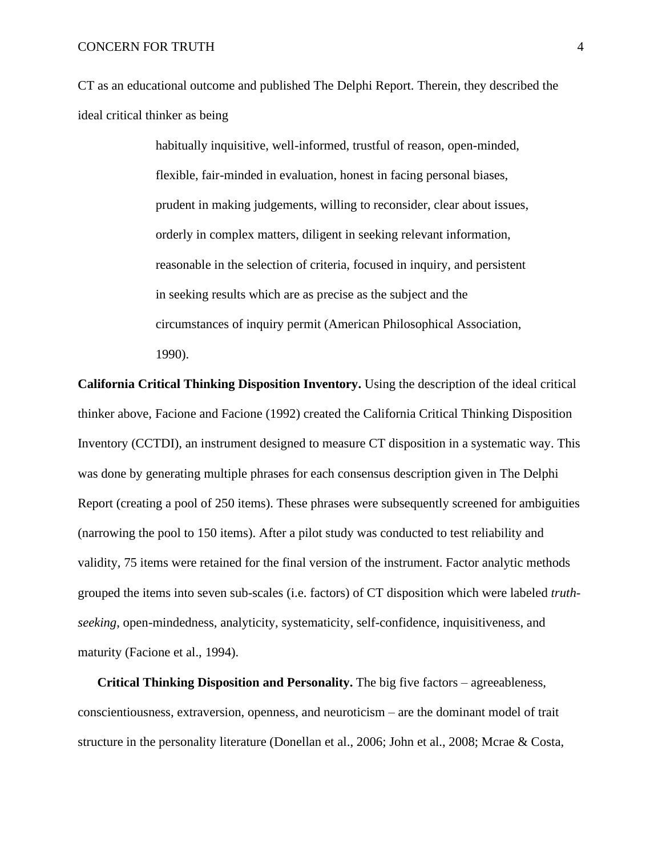CT as an educational outcome and published The Delphi Report. Therein, they described the ideal critical thinker as being

> habitually inquisitive, well-informed, trustful of reason, open-minded, flexible, fair-minded in evaluation, honest in facing personal biases, prudent in making judgements, willing to reconsider, clear about issues, orderly in complex matters, diligent in seeking relevant information, reasonable in the selection of criteria, focused in inquiry, and persistent in seeking results which are as precise as the subject and the circumstances of inquiry permit (American Philosophical Association, 1990).

**California Critical Thinking Disposition Inventory.** Using the description of the ideal critical thinker above, Facione and Facione (1992) created the California Critical Thinking Disposition Inventory (CCTDI), an instrument designed to measure CT disposition in a systematic way. This was done by generating multiple phrases for each consensus description given in The Delphi Report (creating a pool of 250 items). These phrases were subsequently screened for ambiguities (narrowing the pool to 150 items). After a pilot study was conducted to test reliability and validity, 75 items were retained for the final version of the instrument. Factor analytic methods grouped the items into seven sub-scales (i.e. factors) of CT disposition which were labeled *truthseeking*, open-mindedness, analyticity, systematicity, self-confidence, inquisitiveness, and maturity (Facione et al., 1994).

**Critical Thinking Disposition and Personality.** The big five factors – agreeableness, conscientiousness, extraversion, openness, and neuroticism – are the dominant model of trait structure in the personality literature (Donellan et al., 2006; John et al., 2008; Mcrae & Costa,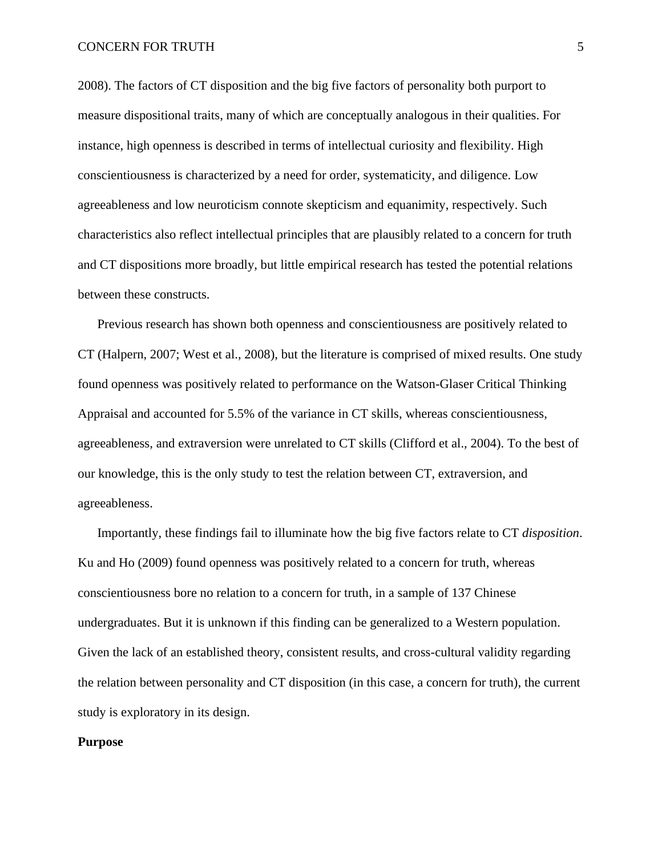2008). The factors of CT disposition and the big five factors of personality both purport to measure dispositional traits, many of which are conceptually analogous in their qualities. For instance, high openness is described in terms of intellectual curiosity and flexibility. High conscientiousness is characterized by a need for order, systematicity, and diligence. Low agreeableness and low neuroticism connote skepticism and equanimity, respectively. Such characteristics also reflect intellectual principles that are plausibly related to a concern for truth and CT dispositions more broadly, but little empirical research has tested the potential relations between these constructs.

Previous research has shown both openness and conscientiousness are positively related to CT (Halpern, 2007; West et al., 2008), but the literature is comprised of mixed results. One study found openness was positively related to performance on the Watson-Glaser Critical Thinking Appraisal and accounted for 5.5% of the variance in CT skills, whereas conscientiousness, agreeableness, and extraversion were unrelated to CT skills (Clifford et al., 2004). To the best of our knowledge, this is the only study to test the relation between CT, extraversion, and agreeableness.

Importantly, these findings fail to illuminate how the big five factors relate to CT *disposition*. Ku and Ho (2009) found openness was positively related to a concern for truth, whereas conscientiousness bore no relation to a concern for truth, in a sample of 137 Chinese undergraduates. But it is unknown if this finding can be generalized to a Western population. Given the lack of an established theory, consistent results, and cross-cultural validity regarding the relation between personality and CT disposition (in this case, a concern for truth), the current study is exploratory in its design.

#### **Purpose**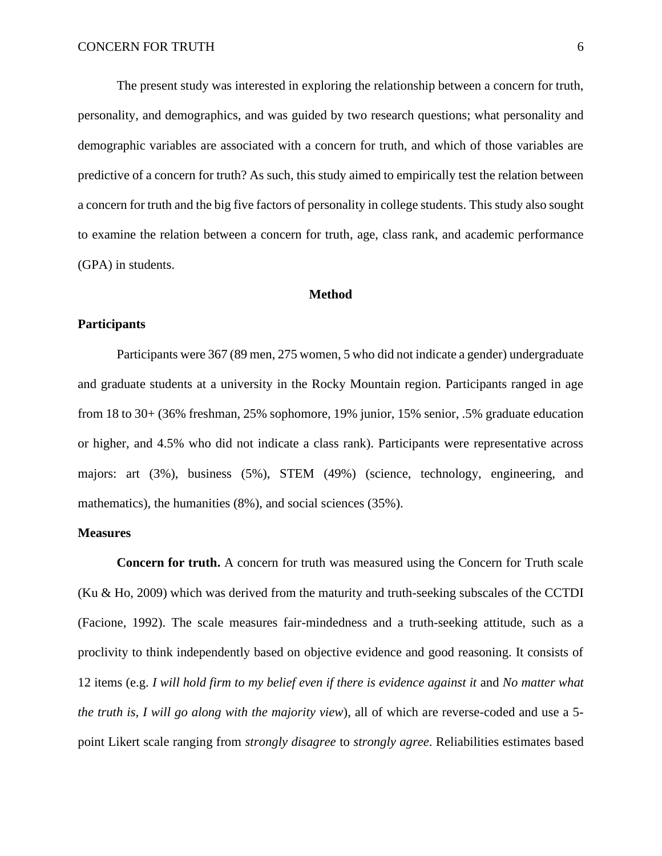The present study was interested in exploring the relationship between a concern for truth, personality, and demographics, and was guided by two research questions; what personality and demographic variables are associated with a concern for truth, and which of those variables are predictive of a concern for truth? As such, this study aimed to empirically test the relation between a concern for truth and the big five factors of personality in college students. This study also sought to examine the relation between a concern for truth, age, class rank, and academic performance (GPA) in students.

#### **Method**

#### **Participants**

Participants were 367 (89 men, 275 women, 5 who did not indicate a gender) undergraduate and graduate students at a university in the Rocky Mountain region. Participants ranged in age from 18 to 30+ (36% freshman, 25% sophomore, 19% junior, 15% senior, .5% graduate education or higher, and 4.5% who did not indicate a class rank). Participants were representative across majors: art (3%), business (5%), STEM (49%) (science, technology, engineering, and mathematics), the humanities (8%), and social sciences (35%).

#### **Measures**

**Concern for truth.** A concern for truth was measured using the Concern for Truth scale (Ku & Ho, 2009) which was derived from the maturity and truth-seeking subscales of the CCTDI (Facione, 1992). The scale measures fair-mindedness and a truth-seeking attitude, such as a proclivity to think independently based on objective evidence and good reasoning. It consists of 12 items (e.g. *I will hold firm to my belief even if there is evidence against it* and *No matter what the truth is, I will go along with the majority view*), all of which are reverse-coded and use a 5 point Likert scale ranging from *strongly disagree* to *strongly agree*. Reliabilities estimates based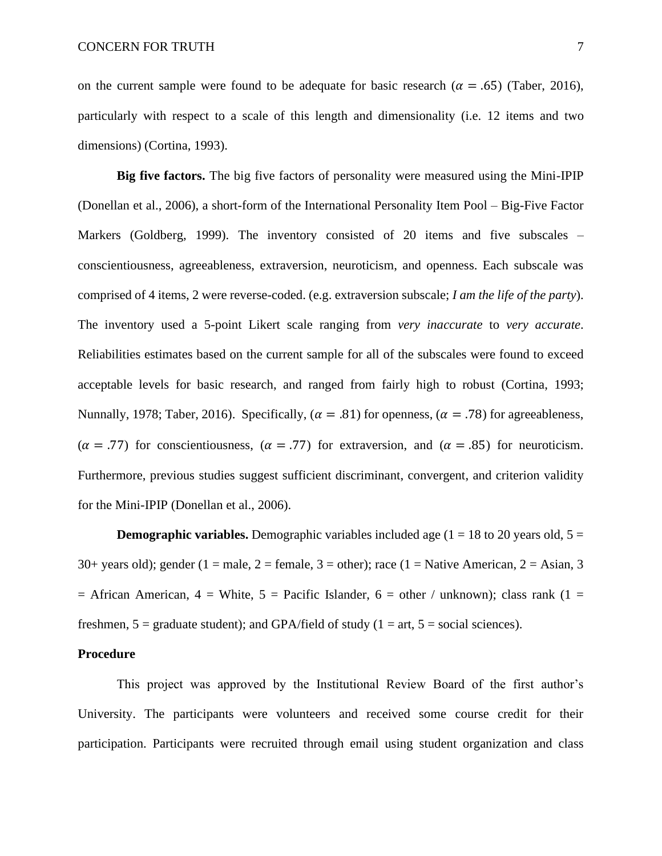on the current sample were found to be adequate for basic research ( $\alpha = .65$ ) (Taber, 2016), particularly with respect to a scale of this length and dimensionality (i.e. 12 items and two dimensions) (Cortina, 1993).

**Big five factors.** The big five factors of personality were measured using the Mini-IPIP (Donellan et al., 2006), a short-form of the International Personality Item Pool – Big-Five Factor Markers (Goldberg, 1999). The inventory consisted of 20 items and five subscales – conscientiousness, agreeableness, extraversion, neuroticism, and openness. Each subscale was comprised of 4 items, 2 were reverse-coded. (e.g. extraversion subscale; *I am the life of the party*). The inventory used a 5-point Likert scale ranging from *very inaccurate* to *very accurate*. Reliabilities estimates based on the current sample for all of the subscales were found to exceed acceptable levels for basic research, and ranged from fairly high to robust (Cortina, 1993; Nunnally, 1978; Taber, 2016). Specifically, ( $\alpha = .81$ ) for openness, ( $\alpha = .78$ ) for agreeableness,  $(\alpha = .77)$  for conscientiousness,  $(\alpha = .77)$  for extraversion, and  $(\alpha = .85)$  for neuroticism. Furthermore, previous studies suggest sufficient discriminant, convergent, and criterion validity for the Mini-IPIP (Donellan et al., 2006).

**Demographic variables.** Demographic variables included age ( $1 = 18$  to 20 years old,  $5 = 18$ 30+ years old); gender (1 = male, 2 = female, 3 = other); race (1 = Native American, 2 = Asian, 3  $=$  African American,  $4$  = White,  $5$  = Pacific Islander,  $6$  = other / unknown); class rank (1 = freshmen,  $5 = \text{graduate student}$ ; and GPA/field of study (1 = art,  $5 = \text{social sciences}$ ).

## **Procedure**

This project was approved by the Institutional Review Board of the first author's University. The participants were volunteers and received some course credit for their participation. Participants were recruited through email using student organization and class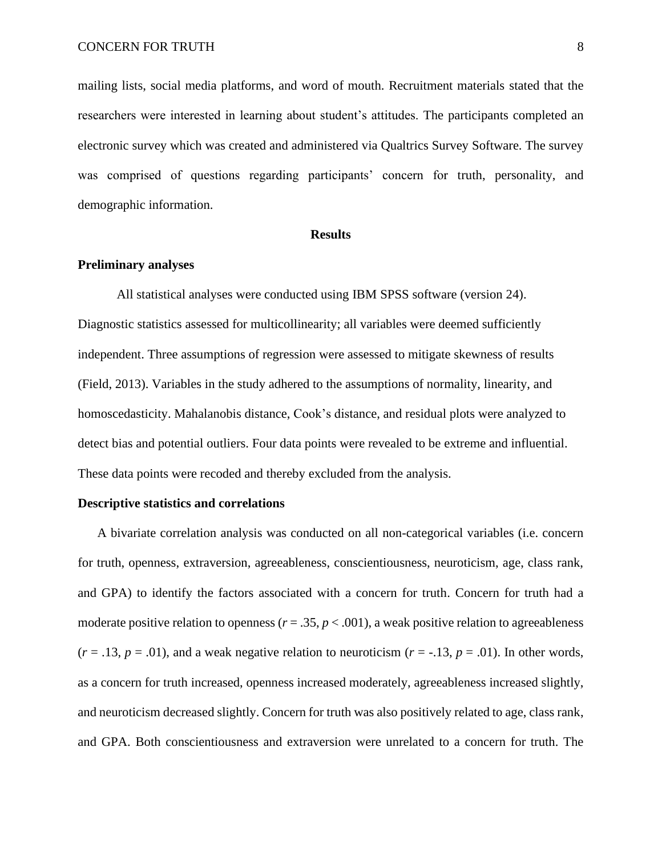mailing lists, social media platforms, and word of mouth. Recruitment materials stated that the researchers were interested in learning about student's attitudes. The participants completed an electronic survey which was created and administered via Qualtrics Survey Software. The survey was comprised of questions regarding participants' concern for truth, personality, and demographic information.

#### **Results**

#### **Preliminary analyses**

All statistical analyses were conducted using IBM SPSS software (version 24). Diagnostic statistics assessed for multicollinearity; all variables were deemed sufficiently independent. Three assumptions of regression were assessed to mitigate skewness of results (Field, 2013). Variables in the study adhered to the assumptions of normality, linearity, and homoscedasticity. Mahalanobis distance, Cook's distance, and residual plots were analyzed to detect bias and potential outliers. Four data points were revealed to be extreme and influential. These data points were recoded and thereby excluded from the analysis.

#### **Descriptive statistics and correlations**

A bivariate correlation analysis was conducted on all non-categorical variables (i.e. concern for truth, openness, extraversion, agreeableness, conscientiousness, neuroticism, age, class rank, and GPA) to identify the factors associated with a concern for truth. Concern for truth had a moderate positive relation to openness  $(r = .35, p < .001)$ , a weak positive relation to agreeableness  $(r = .13, p = .01)$ , and a weak negative relation to neuroticism  $(r = .13, p = .01)$ . In other words, as a concern for truth increased, openness increased moderately, agreeableness increased slightly, and neuroticism decreased slightly. Concern for truth was also positively related to age, class rank, and GPA. Both conscientiousness and extraversion were unrelated to a concern for truth. The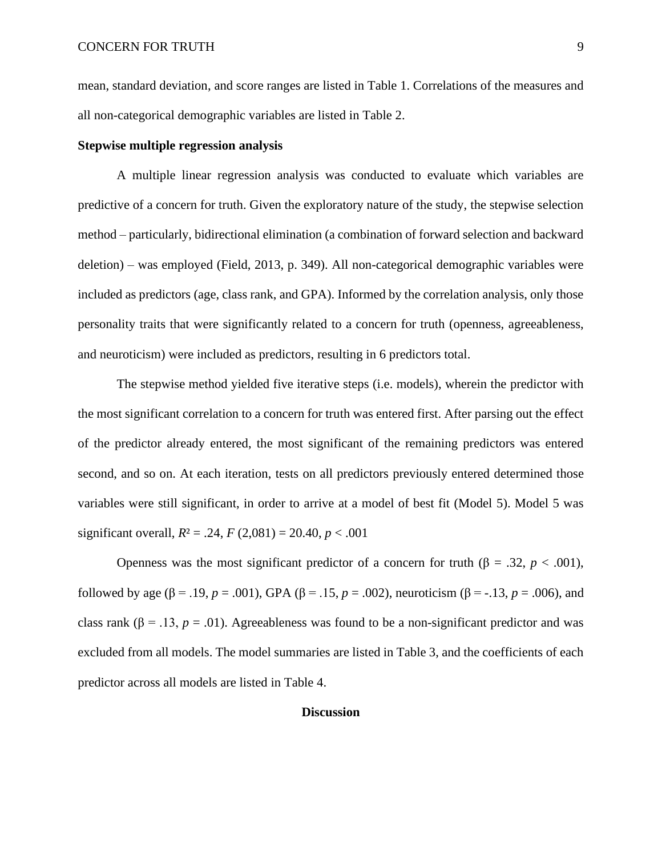mean, standard deviation, and score ranges are listed in Table 1. Correlations of the measures and all non-categorical demographic variables are listed in Table 2.

#### **Stepwise multiple regression analysis**

A multiple linear regression analysis was conducted to evaluate which variables are predictive of a concern for truth. Given the exploratory nature of the study, the stepwise selection method – particularly, bidirectional elimination (a combination of forward selection and backward deletion) – was employed (Field, 2013, p. 349). All non-categorical demographic variables were included as predictors (age, class rank, and GPA). Informed by the correlation analysis, only those personality traits that were significantly related to a concern for truth (openness, agreeableness, and neuroticism) were included as predictors, resulting in 6 predictors total.

The stepwise method yielded five iterative steps (i.e. models), wherein the predictor with the most significant correlation to a concern for truth was entered first. After parsing out the effect of the predictor already entered, the most significant of the remaining predictors was entered second, and so on. At each iteration, tests on all predictors previously entered determined those variables were still significant, in order to arrive at a model of best fit (Model 5). Model 5 was significant overall,  $R^2 = .24$ ,  $F(2,081) = 20.40$ ,  $p < .001$ 

Openness was the most significant predictor of a concern for truth (β = .32,  $p < .001$ ), followed by age ( $\beta$  = .19, *p* = .001), GPA ( $\beta$  = .15, *p* = .002), neuroticism ( $\beta$  = -.13, *p* = .006), and class rank ( $\beta$  = .13, *p* = .01). Agreeableness was found to be a non-significant predictor and was excluded from all models. The model summaries are listed in Table 3, and the coefficients of each predictor across all models are listed in Table 4.

## **Discussion**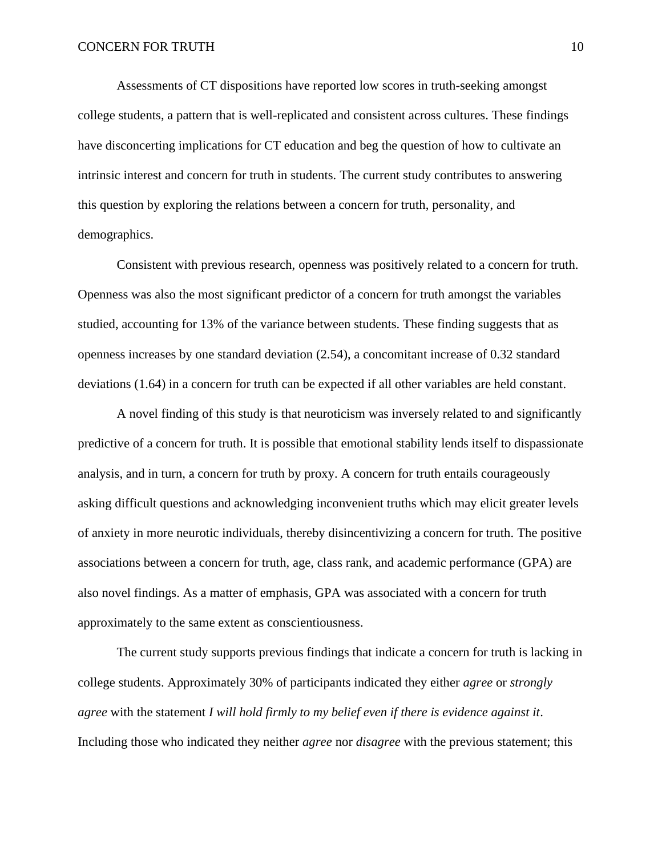Assessments of CT dispositions have reported low scores in truth-seeking amongst college students, a pattern that is well-replicated and consistent across cultures. These findings have disconcerting implications for CT education and beg the question of how to cultivate an intrinsic interest and concern for truth in students. The current study contributes to answering this question by exploring the relations between a concern for truth, personality, and demographics.

Consistent with previous research, openness was positively related to a concern for truth. Openness was also the most significant predictor of a concern for truth amongst the variables studied, accounting for 13% of the variance between students. These finding suggests that as openness increases by one standard deviation (2.54), a concomitant increase of 0.32 standard deviations (1.64) in a concern for truth can be expected if all other variables are held constant.

A novel finding of this study is that neuroticism was inversely related to and significantly predictive of a concern for truth. It is possible that emotional stability lends itself to dispassionate analysis, and in turn, a concern for truth by proxy. A concern for truth entails courageously asking difficult questions and acknowledging inconvenient truths which may elicit greater levels of anxiety in more neurotic individuals, thereby disincentivizing a concern for truth. The positive associations between a concern for truth, age, class rank, and academic performance (GPA) are also novel findings. As a matter of emphasis, GPA was associated with a concern for truth approximately to the same extent as conscientiousness.

The current study supports previous findings that indicate a concern for truth is lacking in college students. Approximately 30% of participants indicated they either *agree* or *strongly agree* with the statement *I will hold firmly to my belief even if there is evidence against it*. Including those who indicated they neither *agree* nor *disagree* with the previous statement; this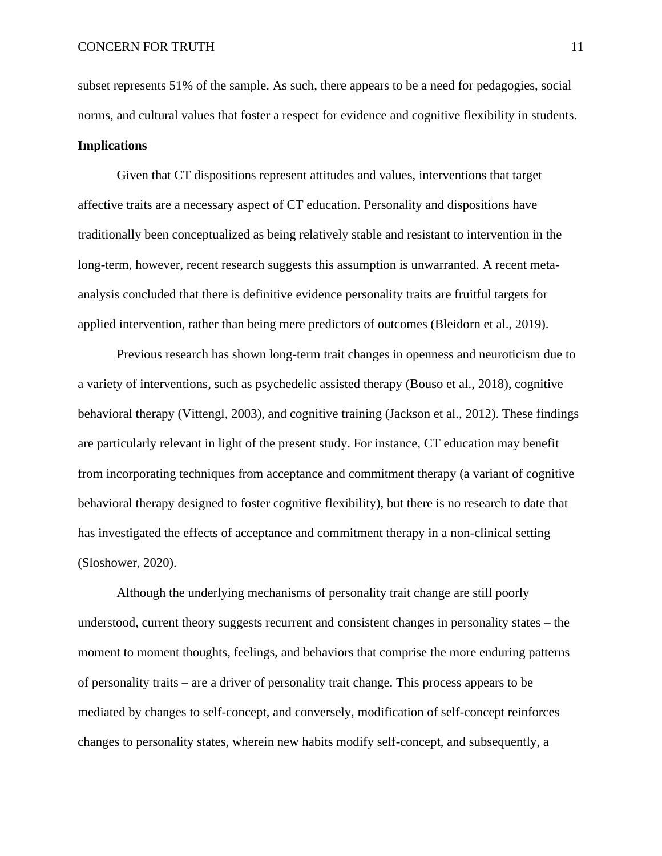subset represents 51% of the sample. As such, there appears to be a need for pedagogies, social norms, and cultural values that foster a respect for evidence and cognitive flexibility in students.

## **Implications**

Given that CT dispositions represent attitudes and values, interventions that target affective traits are a necessary aspect of CT education. Personality and dispositions have traditionally been conceptualized as being relatively stable and resistant to intervention in the long-term, however, recent research suggests this assumption is unwarranted. A recent metaanalysis concluded that there is definitive evidence personality traits are fruitful targets for applied intervention, rather than being mere predictors of outcomes (Bleidorn et al., 2019).

Previous research has shown long-term trait changes in openness and neuroticism due to a variety of interventions, such as psychedelic assisted therapy (Bouso et al., 2018), cognitive behavioral therapy (Vittengl, 2003), and cognitive training (Jackson et al., 2012). These findings are particularly relevant in light of the present study. For instance, CT education may benefit from incorporating techniques from acceptance and commitment therapy (a variant of cognitive behavioral therapy designed to foster cognitive flexibility), but there is no research to date that has investigated the effects of acceptance and commitment therapy in a non-clinical setting (Sloshower, 2020).

Although the underlying mechanisms of personality trait change are still poorly understood, current theory suggests recurrent and consistent changes in personality states – the moment to moment thoughts, feelings, and behaviors that comprise the more enduring patterns of personality traits – are a driver of personality trait change. This process appears to be mediated by changes to self-concept, and conversely, modification of self-concept reinforces changes to personality states, wherein new habits modify self-concept, and subsequently, a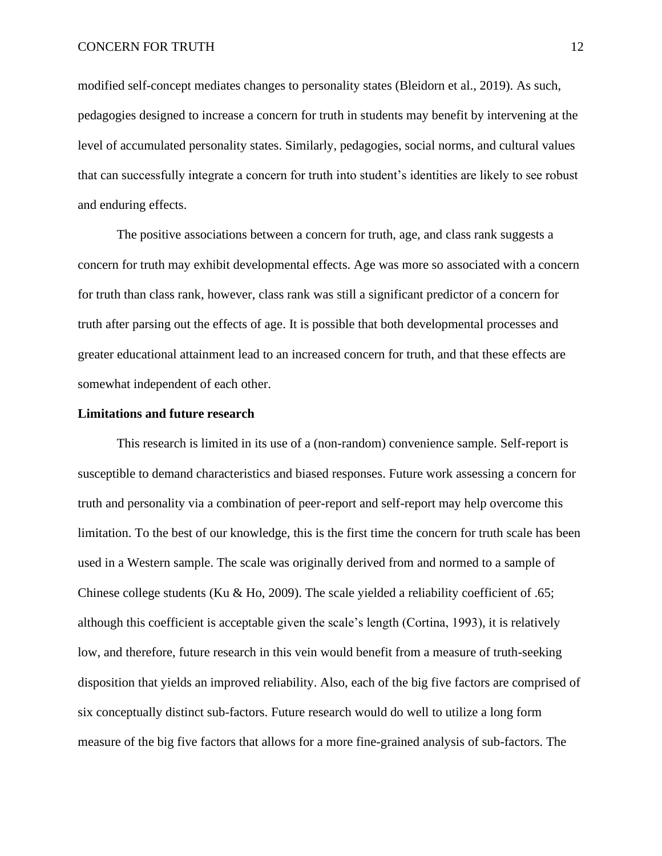modified self-concept mediates changes to personality states (Bleidorn et al., 2019). As such, pedagogies designed to increase a concern for truth in students may benefit by intervening at the level of accumulated personality states. Similarly, pedagogies, social norms, and cultural values that can successfully integrate a concern for truth into student's identities are likely to see robust and enduring effects.

The positive associations between a concern for truth, age, and class rank suggests a concern for truth may exhibit developmental effects. Age was more so associated with a concern for truth than class rank, however, class rank was still a significant predictor of a concern for truth after parsing out the effects of age. It is possible that both developmental processes and greater educational attainment lead to an increased concern for truth, and that these effects are somewhat independent of each other.

#### **Limitations and future research**

This research is limited in its use of a (non-random) convenience sample. Self-report is susceptible to demand characteristics and biased responses. Future work assessing a concern for truth and personality via a combination of peer-report and self-report may help overcome this limitation. To the best of our knowledge, this is the first time the concern for truth scale has been used in a Western sample. The scale was originally derived from and normed to a sample of Chinese college students (Ku & Ho, 2009). The scale yielded a reliability coefficient of .65; although this coefficient is acceptable given the scale's length (Cortina, 1993), it is relatively low, and therefore, future research in this vein would benefit from a measure of truth-seeking disposition that yields an improved reliability. Also, each of the big five factors are comprised of six conceptually distinct sub-factors. Future research would do well to utilize a long form measure of the big five factors that allows for a more fine-grained analysis of sub-factors. The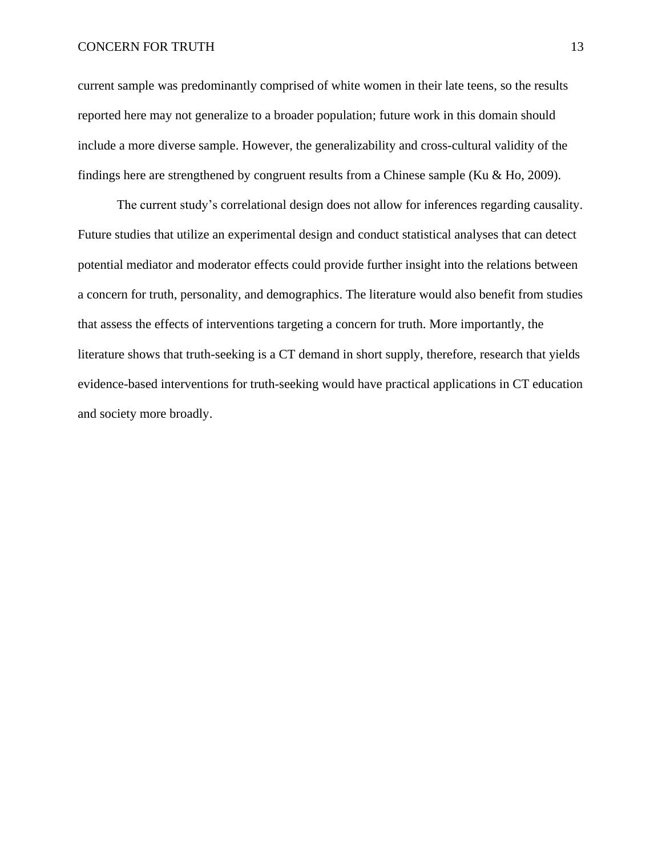current sample was predominantly comprised of white women in their late teens, so the results reported here may not generalize to a broader population; future work in this domain should include a more diverse sample. However, the generalizability and cross-cultural validity of the findings here are strengthened by congruent results from a Chinese sample (Ku & Ho, 2009).

The current study's correlational design does not allow for inferences regarding causality. Future studies that utilize an experimental design and conduct statistical analyses that can detect potential mediator and moderator effects could provide further insight into the relations between a concern for truth, personality, and demographics. The literature would also benefit from studies that assess the effects of interventions targeting a concern for truth. More importantly, the literature shows that truth-seeking is a CT demand in short supply, therefore, research that yields evidence-based interventions for truth-seeking would have practical applications in CT education and society more broadly.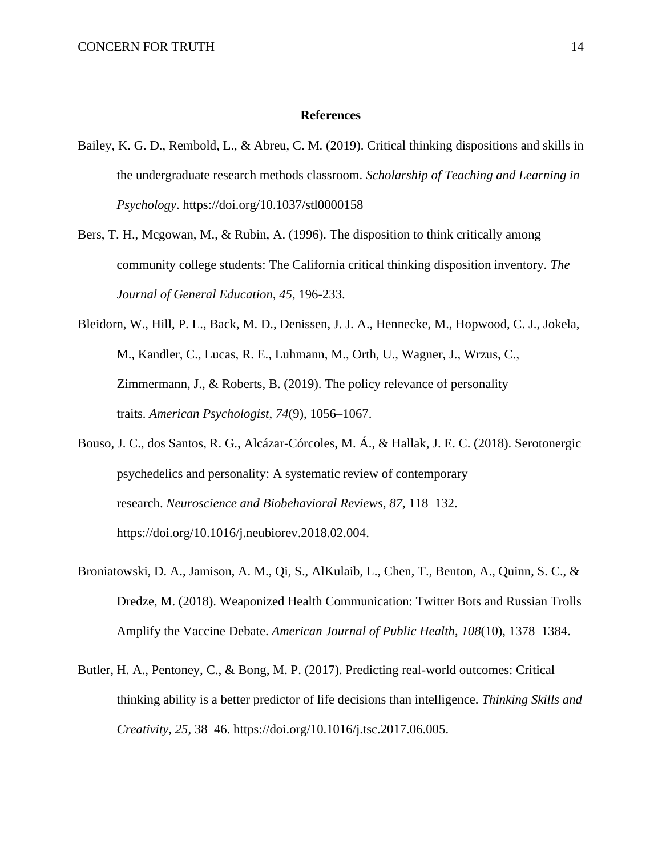#### **References**

- Bailey, K. G. D., Rembold, L., & Abreu, C. M. (2019). Critical thinking dispositions and skills in the undergraduate research methods classroom. *Scholarship of Teaching and Learning in Psychology*. https://doi.org/10.1037/stl0000158
- Bers, T. H., Mcgowan, M., & Rubin, A. (1996). The disposition to think critically among community college students: The California critical thinking disposition inventory. *The Journal of General Education, 45*, 196-233.
- Bleidorn, W., Hill, P. L., Back, M. D., Denissen, J. J. A., Hennecke, M., Hopwood, C. J., Jokela, M., Kandler, C., Lucas, R. E., Luhmann, M., Orth, U., Wagner, J., Wrzus, C., Zimmermann, J., & Roberts, B. (2019). The policy relevance of personality traits. *American Psychologist*, *74*(9), 1056–1067.
- Bouso, J. C., dos Santos, R. G., Alcázar-Córcoles, M. Á., & Hallak, J. E. C. (2018). Serotonergic psychedelics and personality: A systematic review of contemporary research. *Neuroscience and Biobehavioral Reviews*, *87*, 118–132. https://doi.org/10.1016/j.neubiorev.2018.02.004.
- Broniatowski, D. A., Jamison, A. M., Qi, S., AlKulaib, L., Chen, T., Benton, A., Quinn, S. C., & Dredze, M. (2018). Weaponized Health Communication: Twitter Bots and Russian Trolls Amplify the Vaccine Debate. *American Journal of Public Health*, *108*(10), 1378–1384.
- Butler, H. A., Pentoney, C., & Bong, M. P. (2017). Predicting real-world outcomes: Critical thinking ability is a better predictor of life decisions than intelligence. *Thinking Skills and Creativity*, *25*, 38–46. https://doi.org/10.1016/j.tsc.2017.06.005.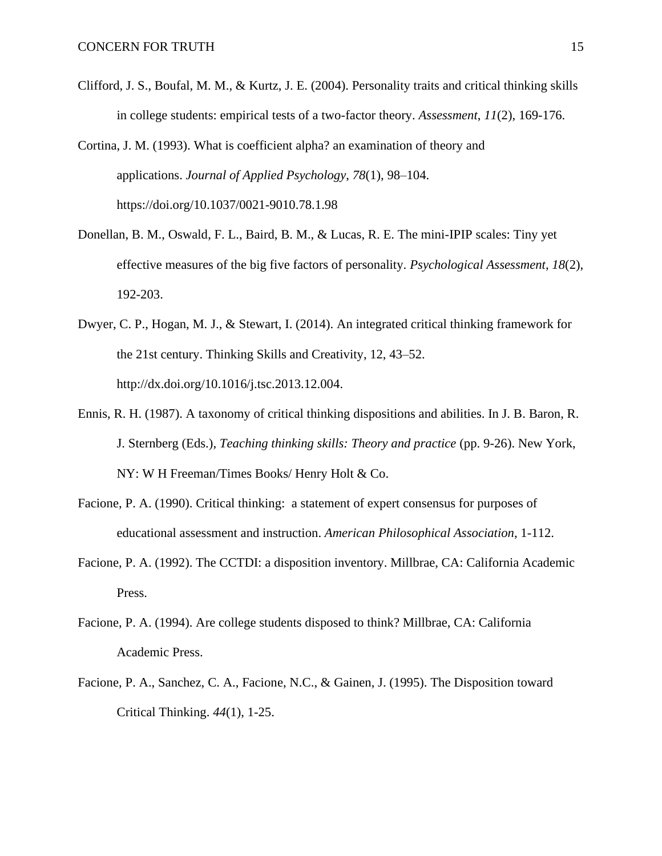- Clifford, J. S., Boufal, M. M., & Kurtz, J. E. (2004). Personality traits and critical thinking skills in college students: empirical tests of a two-factor theory. *Assessment*, *11*(2), 169-176.
- Cortina, J. M. (1993). What is coefficient alpha? an examination of theory and applications. *Journal of Applied Psychology*, *78*(1), 98–104. https://doi.org/10.1037/0021-9010.78.1.98
- Donellan, B. M., Oswald, F. L., Baird, B. M., & Lucas, R. E. The mini-IPIP scales: Tiny yet effective measures of the big five factors of personality. *Psychological Assessment*, *18*(2), 192-203.
- Dwyer, C. P., Hogan, M. J., & Stewart, I. (2014). An integrated critical thinking framework for the 21st century. Thinking Skills and Creativity, 12, 43–52. http://dx.doi.org/10.1016/j.tsc.2013.12.004.
- Ennis, R. H. (1987). A taxonomy of critical thinking dispositions and abilities. In J. B. Baron, R. J. Sternberg (Eds.), *Teaching thinking skills: Theory and practice* (pp. 9-26). New York, NY: W H Freeman/Times Books/ Henry Holt & Co.
- Facione, P. A. (1990). Critical thinking: a statement of expert consensus for purposes of educational assessment and instruction. *American Philosophical Association*, 1-112.
- Facione, P. A. (1992). The CCTDI: a disposition inventory. Millbrae, CA: California Academic Press.
- Facione, P. A. (1994). Are college students disposed to think? Millbrae, CA: California Academic Press.
- Facione, P. A., Sanchez, C. A., Facione, N.C., & Gainen, J. (1995). The Disposition toward Critical Thinking. *44*(1), 1-25.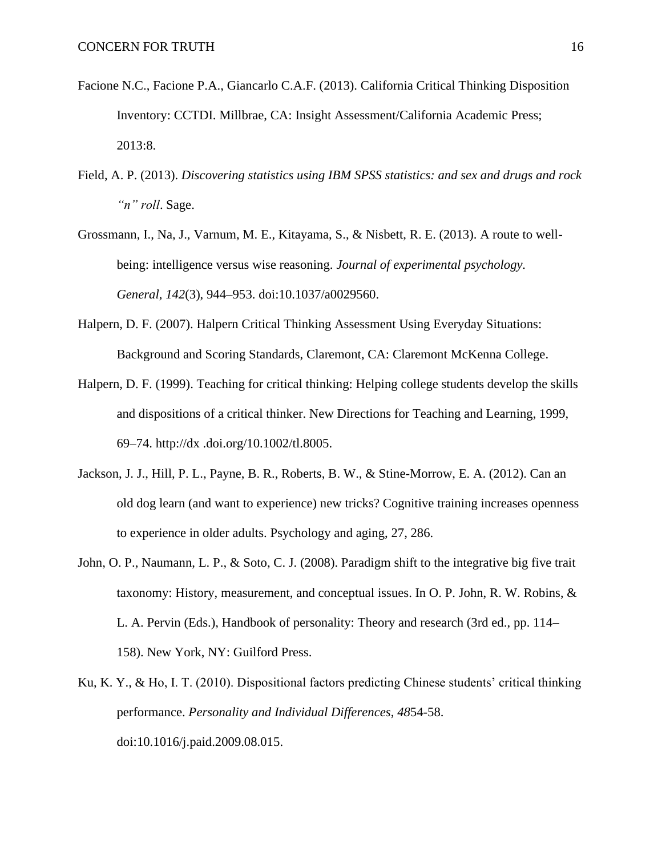- Facione N.C., Facione P.A., Giancarlo C.A.F. (2013). California Critical Thinking Disposition Inventory: CCTDI. Millbrae, CA: Insight Assessment/California Academic Press; 2013:8.
- Field, A. P. (2013). *Discovering statistics using IBM SPSS statistics: and sex and drugs and rock "n" roll*. Sage.
- Grossmann, I., Na, J., Varnum, M. E., Kitayama, S., & Nisbett, R. E. (2013). A route to wellbeing: intelligence versus wise reasoning. *Journal of experimental psychology. General*, *142*(3), 944–953. doi:10.1037/a0029560.
- Halpern, D. F. (2007). Halpern Critical Thinking Assessment Using Everyday Situations: Background and Scoring Standards, Claremont, CA: Claremont McKenna College.
- Halpern, D. F. (1999). Teaching for critical thinking: Helping college students develop the skills and dispositions of a critical thinker. New Directions for Teaching and Learning, 1999, 69–74. http://dx .doi.org/10.1002/tl.8005.
- Jackson, J. J., Hill, P. L., Payne, B. R., Roberts, B. W., & Stine-Morrow, E. A. (2012). Can an old dog learn (and want to experience) new tricks? Cognitive training increases openness to experience in older adults. Psychology and aging, 27, 286.
- John, O. P., Naumann, L. P., & Soto, C. J. (2008). Paradigm shift to the integrative big five trait taxonomy: History, measurement, and conceptual issues. In O. P. John, R. W. Robins, & L. A. Pervin (Eds.), Handbook of personality: Theory and research (3rd ed., pp. 114– 158). New York, NY: Guilford Press.
- Ku, K. Y., & Ho, I. T. (2010). Dispositional factors predicting Chinese students' critical thinking performance. *Personality and Individual Differences*, *48*54-58. doi:10.1016/j.paid.2009.08.015.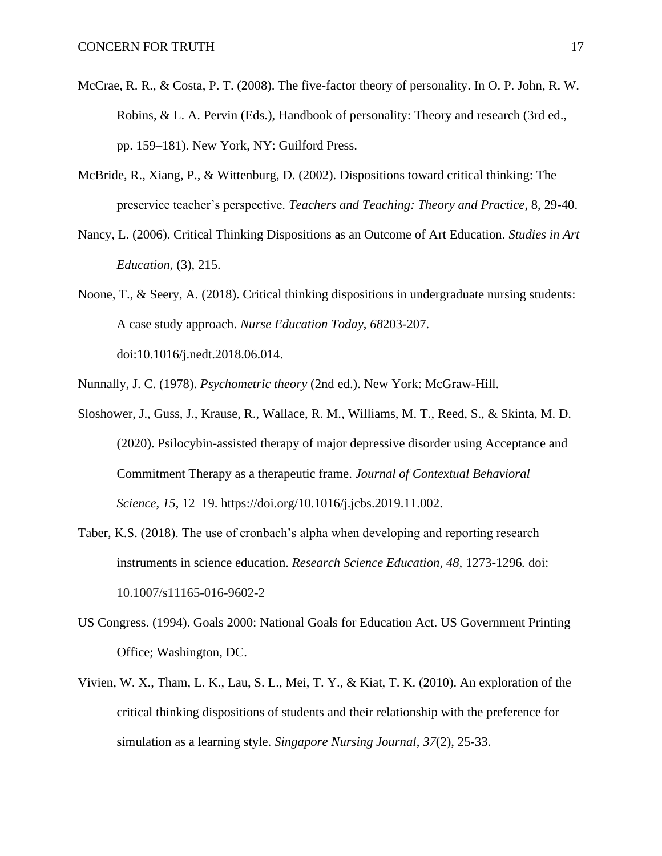- McCrae, R. R., & Costa, P. T. (2008). The five-factor theory of personality. In O. P. John, R. W. Robins, & L. A. Pervin (Eds.), Handbook of personality: Theory and research (3rd ed., pp. 159–181). New York, NY: Guilford Press.
- McBride, R., Xiang, P., & Wittenburg, D. (2002). Dispositions toward critical thinking: The preservice teacher's perspective. *Teachers and Teaching: Theory and Practice*, 8, 29-40.
- Nancy, L. (2006). Critical Thinking Dispositions as an Outcome of Art Education. *Studies in Art Education*, (3), 215.
- Noone, T., & Seery, A. (2018). Critical thinking dispositions in undergraduate nursing students: A case study approach. *Nurse Education Today*, *68*203-207. doi:10.1016/j.nedt.2018.06.014.
- Nunnally, J. C. (1978). *Psychometric theory* (2nd ed.). New York: McGraw-Hill.
- Sloshower, J., Guss, J., Krause, R., Wallace, R. M., Williams, M. T., Reed, S., & Skinta, M. D. (2020). Psilocybin-assisted therapy of major depressive disorder using Acceptance and Commitment Therapy as a therapeutic frame. *Journal of Contextual Behavioral Science*, *15*, 12–19. https://doi.org/10.1016/j.jcbs.2019.11.002.
- Taber, K.S. (2018). The use of cronbach's alpha when developing and reporting research instruments in science education. *Research Science Education, 48,* 1273-1296*.* doi: 10.1007/s11165-016-9602-2
- US Congress. (1994). Goals 2000: National Goals for Education Act. US Government Printing Office; Washington, DC.
- Vivien, W. X., Tham, L. K., Lau, S. L., Mei, T. Y., & Kiat, T. K. (2010). An exploration of the critical thinking dispositions of students and their relationship with the preference for simulation as a learning style. *Singapore Nursing Journal*, *37*(2), 25-33.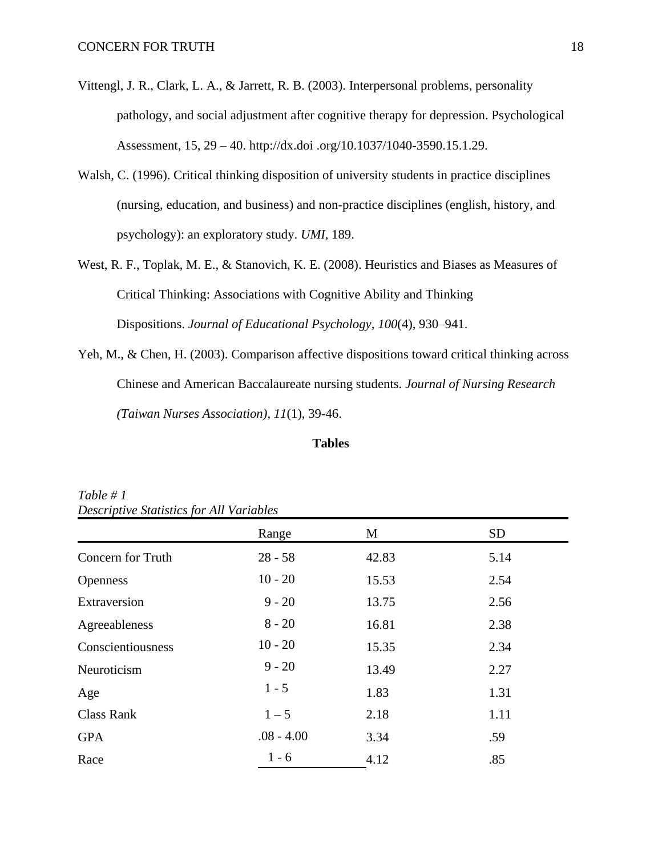- Vittengl, J. R., Clark, L. A., & Jarrett, R. B. (2003). Interpersonal problems, personality pathology, and social adjustment after cognitive therapy for depression. Psychological Assessment, 15, 29 – 40. http://dx.doi .org/10.1037/1040-3590.15.1.29.
- Walsh, C. (1996). Critical thinking disposition of university students in practice disciplines (nursing, education, and business) and non-practice disciplines (english, history, and psychology): an exploratory study. *UMI*, 189.
- West, R. F., Toplak, M. E., & Stanovich, K. E. (2008). Heuristics and Biases as Measures of Critical Thinking: Associations with Cognitive Ability and Thinking Dispositions. *Journal of Educational Psychology*, *100*(4), 930–941.
- Yeh, M., & Chen, H. (2003). Comparison affective dispositions toward critical thinking across Chinese and American Baccalaureate nursing students. *Journal of Nursing Research (Taiwan Nurses Association)*, *11*(1), 39-46.

### **Tables**

|                   | Range        | M     | <b>SD</b> |  |  |  |  |
|-------------------|--------------|-------|-----------|--|--|--|--|
| Concern for Truth | $28 - 58$    | 42.83 | 5.14      |  |  |  |  |
| <b>Openness</b>   | $10 - 20$    | 15.53 | 2.54      |  |  |  |  |
| Extraversion      | $9 - 20$     | 13.75 | 2.56      |  |  |  |  |
| Agreeableness     | $8 - 20$     | 16.81 | 2.38      |  |  |  |  |
| Conscientiousness | $10 - 20$    | 15.35 | 2.34      |  |  |  |  |
| Neuroticism       | $9 - 20$     | 13.49 | 2.27      |  |  |  |  |
| Age               | $1 - 5$      | 1.83  | 1.31      |  |  |  |  |
| <b>Class Rank</b> | $1 - 5$      | 2.18  | 1.11      |  |  |  |  |
| <b>GPA</b>        | $.08 - 4.00$ | 3.34  | .59       |  |  |  |  |
| Race              | $1 - 6$      | 4.12  | .85       |  |  |  |  |

*Table # 1 Descriptive Statistics for All Variables*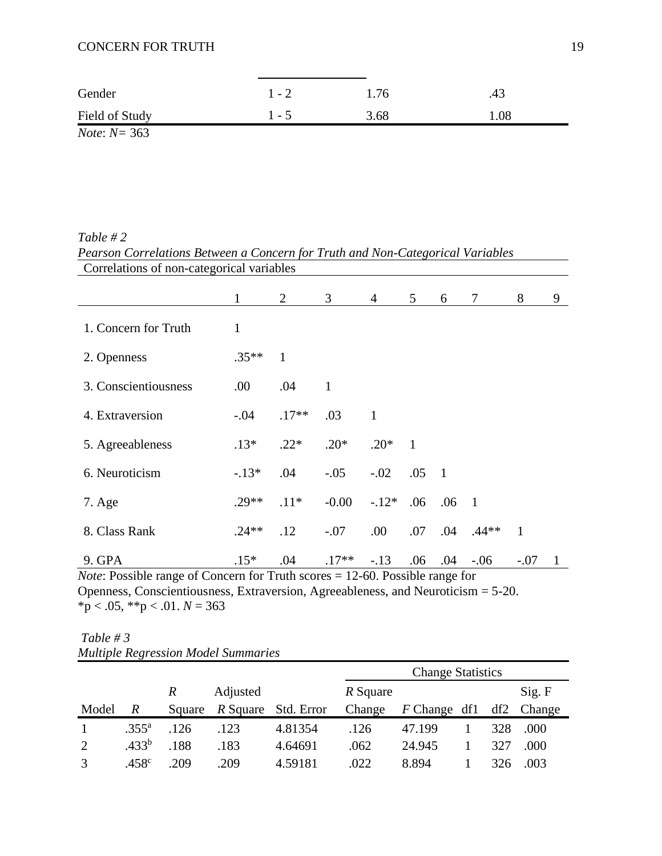| Gender                 | $1 - 2$ | .76  | .43 |
|------------------------|---------|------|-----|
| Field of Study         | 1 - 5   | 3.68 | .08 |
| <i>Note:</i> $N = 363$ |         |      |     |

*Table # 2 Pearson Correlations Between a Concern for Truth and Non-Categorical Variables* Correlations of non-categorical variables

|                                                                                        | $\mathbf{1}$ | $\overline{2}$ | 3 <sup>7</sup> | $4\overline{ }$ | 5 <sup>5</sup> | 6             | $7\phantom{.0}$ | 8            | 9            |
|----------------------------------------------------------------------------------------|--------------|----------------|----------------|-----------------|----------------|---------------|-----------------|--------------|--------------|
| 1. Concern for Truth                                                                   | $\mathbf{1}$ |                |                |                 |                |               |                 |              |              |
| 2. Openness                                                                            | $.35**$      | 1              |                |                 |                |               |                 |              |              |
| 3. Conscientiousness                                                                   | .00.         | .04            | $\mathbf{1}$   |                 |                |               |                 |              |              |
| 4. Extraversion                                                                        | $-.04$       | $.17**$        | .03            | 1               |                |               |                 |              |              |
| 5. Agreeableness                                                                       | $.13*$       | $.22*$         | $.20*$         | $.20*$          | $\overline{1}$ |               |                 |              |              |
| 6. Neuroticism                                                                         | $-13*$       | .04            | $-.05$         | $-.02$ .05 1    |                |               |                 |              |              |
| 7. Age                                                                                 | $.29**$      | $.11*$         | $-0.00$        | $-.12*$         | .06            | $.06 \quad 1$ |                 |              |              |
| 8. Class Rank                                                                          | $.24**$      | .12            | $-.07$         | $.00\,$         | .07            |               | $.04$ $.44**$   | $\mathbf{1}$ |              |
| 9. GPA                                                                                 | $.15*$       | .04            | $.17**$        | $-.13$          | $.06\,$        | .04           | $-0.06$         | $-.07$       | $\mathbf{1}$ |
| <i>Note:</i> Possible range of Concern for Truth scores $= 12$ -60. Possible range for |              |                |                |                 |                |               |                 |              |              |

*Note*: Possible range of Concern for Truth scores = 12-60. Possible range for Openness, Conscientiousness, Extraversion, Agreeableness, and Neuroticism = 5-20.  $*_{p}$  < .05,  $*_{p}$  < .01. *N* = 363

| Table # 3 |                                            |  |
|-----------|--------------------------------------------|--|
|           | <b>Multiple Regression Model Summaries</b> |  |

|               |                   |                  |          |            | <b>Change Statistics</b> |              |  |     |        |  |
|---------------|-------------------|------------------|----------|------------|--------------------------|--------------|--|-----|--------|--|
|               |                   | $\boldsymbol{R}$ | Adjusted |            | R Square                 |              |  |     | Sig. F |  |
| Model         | $\boldsymbol{R}$  | Square           | R Square | Std. Error | Change                   | F Change df1 |  | df2 | Change |  |
|               | $.355^{\rm a}$    | .126             | .123     | 4.81354    | .126                     | 47.199       |  | 328 | .000   |  |
| 2             | .433 <sup>b</sup> | .188             | .183     | 4.64691    | .062                     | 24.945       |  | 327 | .000   |  |
| $\mathcal{R}$ | .458 <sup>c</sup> | .209             | .209     | 4.59181    | .022                     | 8.894        |  | 326 | .003   |  |